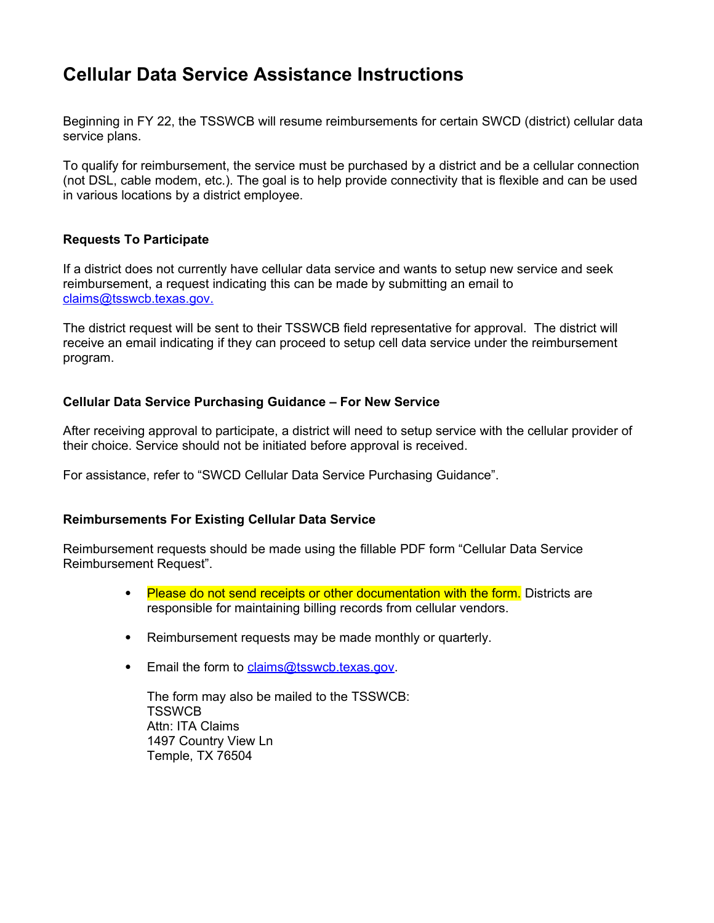# **Cellular Data Service Assistance Instructions**

Beginning in FY 22, the TSSWCB will resume reimbursements for certain SWCD (district) cellular data service plans.

To qualify for reimbursement, the service must be purchased by a district and be a cellular connection (not DSL, cable modem, etc.). The goal is to help provide connectivity that is flexible and can be used in various locations by a district employee.

## **Requests To Participate**

If a district does not currently have cellular data service and wants to setup new service and seek reimbursement, a request indicating this can be made by submitting an email to  [claims@tsswcb.texas.gov.](mailto:claims@tsswcb.texas.gov)

The district request will be sent to their TSSWCB field representative for approval. The district will receive an email indicating if they can proceed to setup cell data service under the reimbursement program.

## **Cellular Data Service Purchasing Guidance – For New Service**

After receiving approval to participate, a district will need to setup service with the cellular provider of their choice. Service should not be initiated before approval is received.

For assistance, refer to "SWCD Cellular Data Service Purchasing Guidance".

#### **Reimbursements For Existing Cellular Data Service**

Reimbursement requests should be made using the fillable PDF form "Cellular Data Service Reimbursement Request".

- Please do not send receipts or other documentation with the form. Districts are responsible for maintaining billing records from cellular vendors.
- Reimbursement requests may be made monthly or quarterly.
- **Email the form to [claims@tsswcb.texas.gov.](mailto:claims@tsswcb.texas.gov)**

The form may also be mailed to the TSSWCB: **TSSWCB** Attn: ITA Claims 1497 Country View Ln Temple, TX 76504